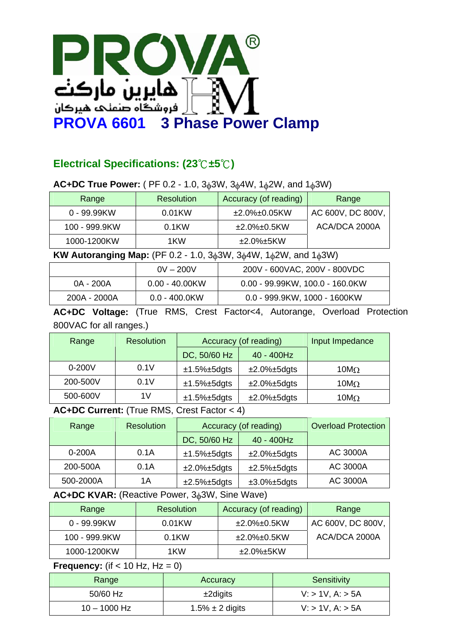

## **Electrical Specifications: (23**℃**±5**℃**)**

### **AC+DC True Power:** ( PF 0.2 - 1.0, 3φ3W, 3φ4W, 1φ2W, and 1φ3W)

| Range         | <b>Resolution</b> | Accuracy (of reading)  | Range             |
|---------------|-------------------|------------------------|-------------------|
| 0 - 99.99KW   | $0.01$ KW         | $±2.0\%±0.05KW$        | AC 600V, DC 800V, |
| 100 - 999.9KW | 0.1 <sub>KW</sub> | $\pm 2.0\%$ ± $0.5$ KW | ACA/DCA 2000A     |
| 1000-1200KW   | 1KW               | $\pm 2.0\%$ $\pm$ 5KW  |                   |

**KW Autoranging Map:** (PF 0.2 - 1.0, 3φ3W, 3φ4W, 1φ2W, and 1φ3W)

|              | $0V - 200V$       | 200V - 600VAC, 200V - 800VDC      |
|--------------|-------------------|-----------------------------------|
| 0A - 200A    | $0.00 - 40.00$ KW | $0.00 - 99.99KW, 100.0 - 160.0KW$ |
| 200A - 2000A | $0.0 - 400.0$ KW  | 0.0 - 999.9KW, 1000 - 1600KW      |

**AC+DC Voltage:** (True RMS, Crest Factor<4, Autorange, Overload Protection 800VAC for all ranges.)

| Range      | <b>Resolution</b> | Accuracy (of reading) |                | Input Impedance |
|------------|-------------------|-----------------------|----------------|-----------------|
|            |                   | DC, 50/60 Hz          | 40 - 400Hz     |                 |
| $0 - 200V$ | 0.1V              | $±1.5\%±5dgts$        | $±2.0\%±5dgts$ | 10 $M_{\Omega}$ |
| 200-500V   | 0.1V              | $±1.5\%±5dgts$        | $±2.0\%±5dgts$ | 10 $M_{\Omega}$ |
| 500-600V   | 1 V               | $±1.5\%±5dgts$        | $±2.0\%±5dgts$ | 10 $M_{\Omega}$ |

**AC+DC Current:** (True RMS, Crest Factor < 4)

| Range     | <b>Resolution</b> | Accuracy (of reading) |                        | <b>Overload Protection</b> |
|-----------|-------------------|-----------------------|------------------------|----------------------------|
|           |                   | DC, 50/60 Hz          | 40 - 400Hz             |                            |
| $0-200A$  | 0.1A              | $±1.5\%±5dgts$        | $±2.0\%±5dgts$         | <b>AC 3000A</b>            |
| 200-500A  | 0.1A              | $±2.0\%±5dgts$        | $±2.5\%±5dgts$         | <b>AC 3000A</b>            |
| 500-2000A | 1Α                | $±2.5\%±5dgts$        | $\pm 3.0\% \pm 5$ dgts | <b>AC 3000A</b>            |

**AC+DC KVAR:** (Reactive Power, 3φ3W, Sine Wave)

| Range         | <b>Resolution</b> | Accuracy (of reading) | Range             |
|---------------|-------------------|-----------------------|-------------------|
| 0 - 99.99KW   | 0.01KW            | $±2.0\%±0.5KW$        | AC 600V, DC 800V, |
| 100 - 999.9KW | $0.1$ KW          | $±2.0\%±0.5KW$        | ACA/DCA 2000A     |
| 1000-1200KW   | 1KW               | ±2.0%±5KW             |                   |

#### **Frequency:** (if  $<$  10 Hz, Hz = 0)

| Range          | Accuracy             | Sensitivity          |
|----------------|----------------------|----------------------|
| 50/60 Hz       | $\pm 2$ digits       | $V:$ > 1V, A: $>$ 5A |
| $10 - 1000$ Hz | $1.5\% \pm 2$ digits | $V:$ > 1V, A: $>$ 5A |